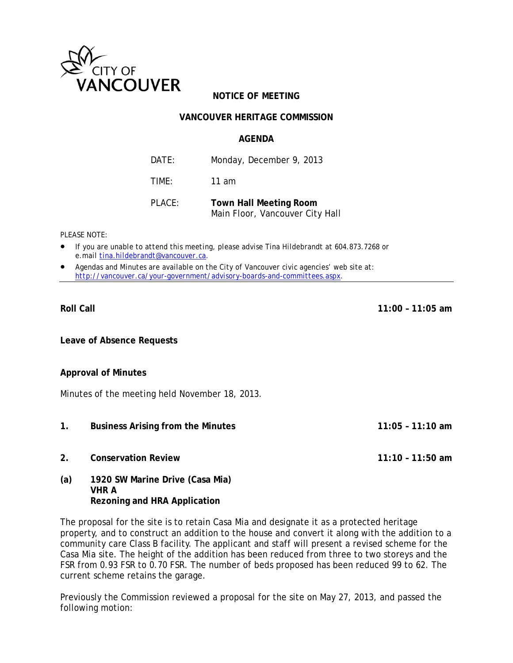

# **NOTICE OF MEETING**

## **VANCOUVER HERITAGE COMMISSION**

#### **AGENDA**

DATE: Monday, December 9, 2013 TIME: 11 am PLACE: **Town Hall Meeting Room** 

Main Floor, Vancouver City Hall

*PLEASE NOTE:* 

- *If you are unable to attend this meeting, please advise Tina Hildebrandt at 604.873.7268 or e.mail tina.hildebrandt@vancouver.ca*.
- *Agendas and Minutes are available on the City of Vancouver civic agencies' web site at: http://vancouver.ca/your-government/advisory-boards-and-committees.aspx*.

#### **Roll Call 11:00 – 11:05 am**

**Leave of Absence Requests** 

#### **Approval of Minutes**

Minutes of the meeting held November 18, 2013.

- **1. Business Arising from the Minutes 11:05 11:10 am**
- **2. Conservation Review 11:10 11:50 am**
- **(a) 1920 SW Marine Drive (Casa Mia) VHR A Rezoning and HRA Application**

The proposal for the site is to retain Casa Mia and designate it as a protected heritage property, and to construct an addition to the house and convert it along with the addition to a community care Class B facility. The applicant and staff will present a revised scheme for the Casa Mia site. The height of the addition has been reduced from three to two storeys and the FSR from 0.93 FSR to 0.70 FSR. The number of beds proposed has been reduced 99 to 62. The current scheme retains the garage.

Previously the Commission reviewed a proposal for the site on May 27, 2013, and passed the following motion: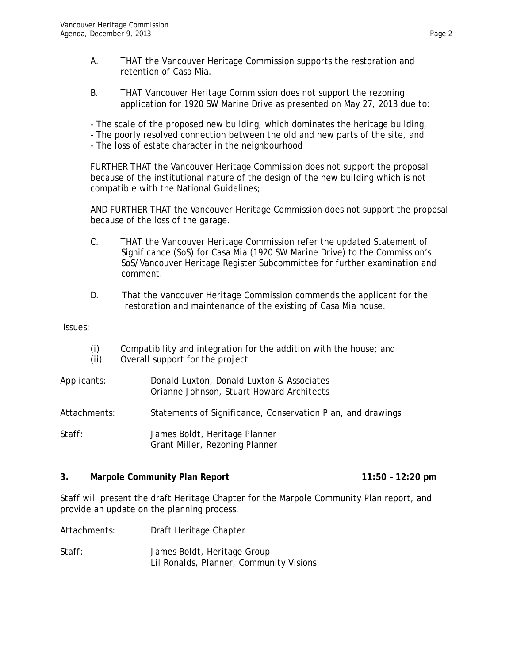- A. THAT the Vancouver Heritage Commission supports the restoration and retention of Casa Mia.
- B. THAT Vancouver Heritage Commission does not support the rezoning application for 1920 SW Marine Drive as presented on May 27, 2013 due to:
- The scale of the proposed new building, which dominates the heritage building,
- The poorly resolved connection between the old and new parts of the site, and
- The loss of estate character in the neighbourhood

FURTHER THAT the Vancouver Heritage Commission does not support the proposal because of the institutional nature of the design of the new building which is not compatible with the National Guidelines;

AND FURTHER THAT the Vancouver Heritage Commission does not support the proposal because of the loss of the garage.

- C. THAT the Vancouver Heritage Commission refer the updated Statement of Significance (SoS) for Casa Mia (1920 SW Marine Drive) to the Commission's SoS/Vancouver Heritage Register Subcommittee for further examination and comment.
- D. That the Vancouver Heritage Commission commends the applicant for the restoration and maintenance of the existing of Casa Mia house.

Issues:

- (i) Compatibility and integration for the addition with the house; and
- (ii) Overall support for the project
- Applicants: Donald Luxton, Donald Luxton & Associates Orianne Johnson, Stuart Howard Architects
- Attachments: Statements of Significance, Conservation Plan, and drawings

Staff: James Boldt, Heritage Planner Grant Miller, Rezoning Planner

#### **3. Marpole Community Plan Report 11:50 – 12:20 pm**

Staff will present the draft Heritage Chapter for the Marpole Community Plan report, and provide an update on the planning process.

Attachments: Draft Heritage Chapter

Staff: James Boldt, Heritage Group Lil Ronalds, Planner, Community Visions